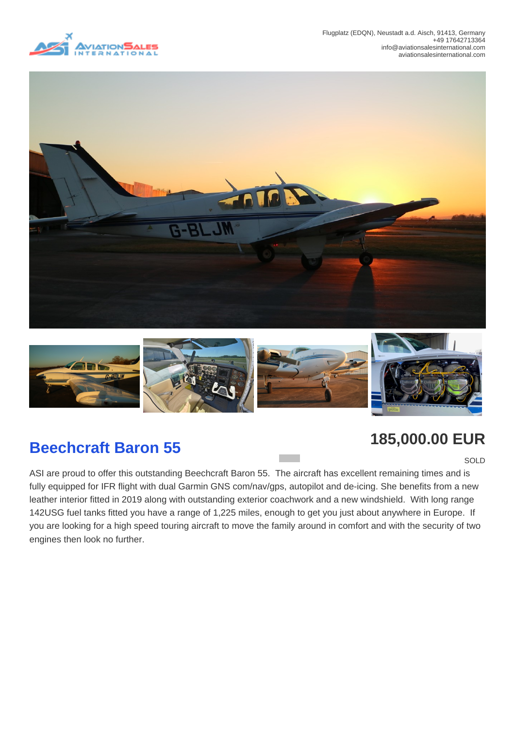





## **Beechcraft Baron 55 185,000.00 EUR**

**SOLD** 

ASI are proud to offer this outstanding Beechcraft Baron 55. The aircraft has excellent remaining times and is fully equipped for IFR flight with dual Garmin GNS com/nav/gps, autopilot and de-icing. She benefits from a new leather interior fitted in 2019 along with outstanding exterior coachwork and a new windshield. With long range 142USG fuel tanks fitted you have a range of 1,225 miles, enough to get you just about anywhere in Europe. If you are looking for a high speed touring aircraft to move the family around in comfort and with the security of two engines then look no further.